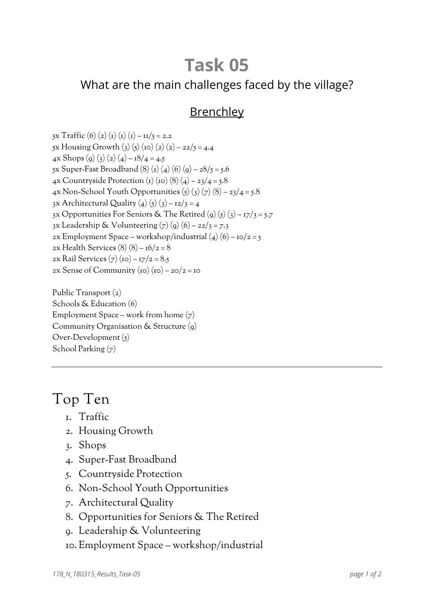# **Task 05**

### What are the main challenges faced by the village?

### Brenchley

5x Traffic (6) (2) (1) (1) (1) –  $\frac{11}{5} = 2.2$ 5x Housing Growth (3) (5) (10) (2) (2) – 22/5 = 4.4 4x Shops (9) (3) (2) (4) –  $18/4 = 4.5$ 5x Super-Fast Broadband (8) (1) (4) (6) (9) –  $28/5$  = 5.6 4x Countryside Protection (1) (10) (8) (4) – 23/4 = 5.8 4x Non-School Youth Opportunities  $(5)(3)(7)(8) - 23/4 = 5.8$ 3x Architectural Quality (4) (5) (3) –  $12/3 = 4$ 3x Opportunities For Seniors & The Retired (9) (5) (3) –  $17/3 = 5.7$ 3x Leadership & Volunteering  $(7)(9)(6) - 22/3 = 7.3$ 2x Employment Space – workshop/industrial  $(4)(6)$  – 10/2 = 5 2x Health Services  $(8)(8) - 16/2 = 8$ 2x Rail Services (7) (10) –  $17/2 = 8.5$ 2x Sense of Community (10) (10) – 20/2 = 10

Public Transport (2) Schools & Education (6) Employment Space – work from home  $(7)$ Community Organisation & Structure (9) Over-Development (5) School Parking (7)

## Top Ten

- 1. Traffic
- 2. Housing Growth
- 3. Shops
- 4. Super-Fast Broadband
- 5. Countryside Protection
- 6. Non-School Youth Opportunities
- 7. Architectural Quality
- 8. Opportunities for Seniors & The Retired
- 9. Leadership & Volunteering
- 10. Employment Space workshop/industrial